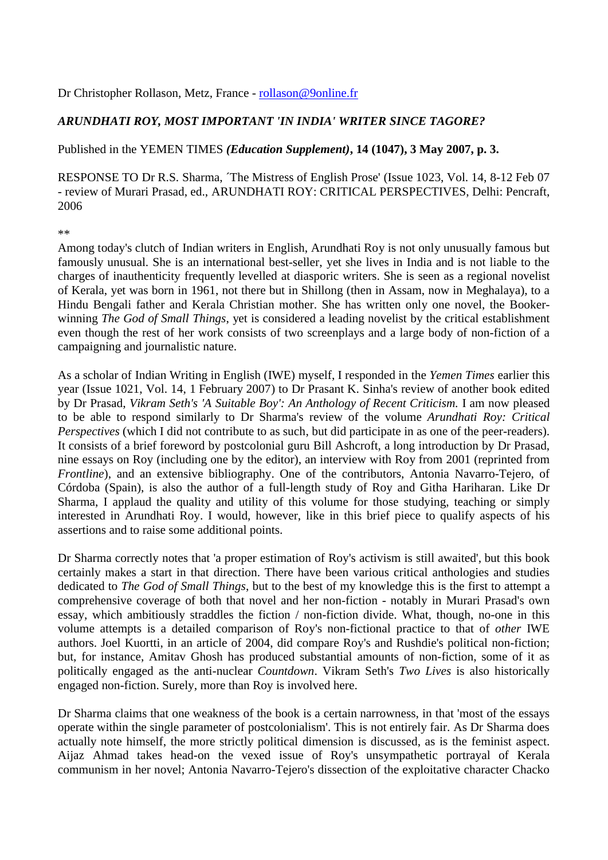## Dr Christopher Rollason, Metz, France - rollason@9online.fr

## *ARUNDHATI ROY, MOST IMPORTANT 'IN INDIA' WRITER SINCE TAGORE?*

Published in the YEMEN TIMES *(Education Supplement)***, 14 (1047), 3 May 2007, p. 3.**

RESPONSE TO Dr R.S. Sharma, ´The Mistress of English Prose' (Issue 1023, Vol. 14, 8-12 Feb 07 - review of Murari Prasad, ed., ARUNDHATI ROY: CRITICAL PERSPECTIVES, Delhi: Pencraft, 2006

\*\*

Among today's clutch of Indian writers in English, Arundhati Roy is not only unusually famous but famously unusual. She is an international best-seller, yet she lives in India and is not liable to the charges of inauthenticity frequently levelled at diasporic writers. She is seen as a regional novelist of Kerala, yet was born in 1961, not there but in Shillong (then in Assam, now in Meghalaya), to a Hindu Bengali father and Kerala Christian mother. She has written only one novel, the Bookerwinning *The God of Small Things*, yet is considered a leading novelist by the critical establishment even though the rest of her work consists of two screenplays and a large body of non-fiction of a campaigning and journalistic nature.

As a scholar of Indian Writing in English (IWE) myself, I responded in the *Yemen Times* earlier this year (Issue 1021, Vol. 14, 1 February 2007) to Dr Prasant K. Sinha's review of another book edited by Dr Prasad, *Vikram Seth's 'A Suitable Boy': An Anthology of Recent Criticism.* I am now pleased to be able to respond similarly to Dr Sharma's review of the volume *Arundhati Roy: Critical Perspectives* (which I did not contribute to as such, but did participate in as one of the peer-readers). It consists of a brief foreword by postcolonial guru Bill Ashcroft, a long introduction by Dr Prasad, nine essays on Roy (including one by the editor), an interview with Roy from 2001 (reprinted from *Frontline*), and an extensive bibliography. One of the contributors, Antonia Navarro-Tejero, of Córdoba (Spain), is also the author of a full-length study of Roy and Githa Hariharan. Like Dr Sharma, I applaud the quality and utility of this volume for those studying, teaching or simply interested in Arundhati Roy. I would, however, like in this brief piece to qualify aspects of his assertions and to raise some additional points.

Dr Sharma correctly notes that 'a proper estimation of Roy's activism is still awaited', but this book certainly makes a start in that direction. There have been various critical anthologies and studies dedicated to *The God of Small Things*, but to the best of my knowledge this is the first to attempt a comprehensive coverage of both that novel and her non-fiction - notably in Murari Prasad's own essay, which ambitiously straddles the fiction / non-fiction divide. What, though, no-one in this volume attempts is a detailed comparison of Roy's non-fictional practice to that of *other* IWE authors. Joel Kuortti, in an article of 2004, did compare Roy's and Rushdie's political non-fiction; but, for instance, Amitav Ghosh has produced substantial amounts of non-fiction, some of it as politically engaged as the anti-nuclear *Countdown*. Vikram Seth's *Two Lives* is also historically engaged non-fiction. Surely, more than Roy is involved here.

Dr Sharma claims that one weakness of the book is a certain narrowness, in that 'most of the essays operate within the single parameter of postcolonialism'. This is not entirely fair. As Dr Sharma does actually note himself, the more strictly political dimension is discussed, as is the feminist aspect. Aijaz Ahmad takes head-on the vexed issue of Roy's unsympathetic portrayal of Kerala communism in her novel; Antonia Navarro-Tejero's dissection of the exploitative character Chacko